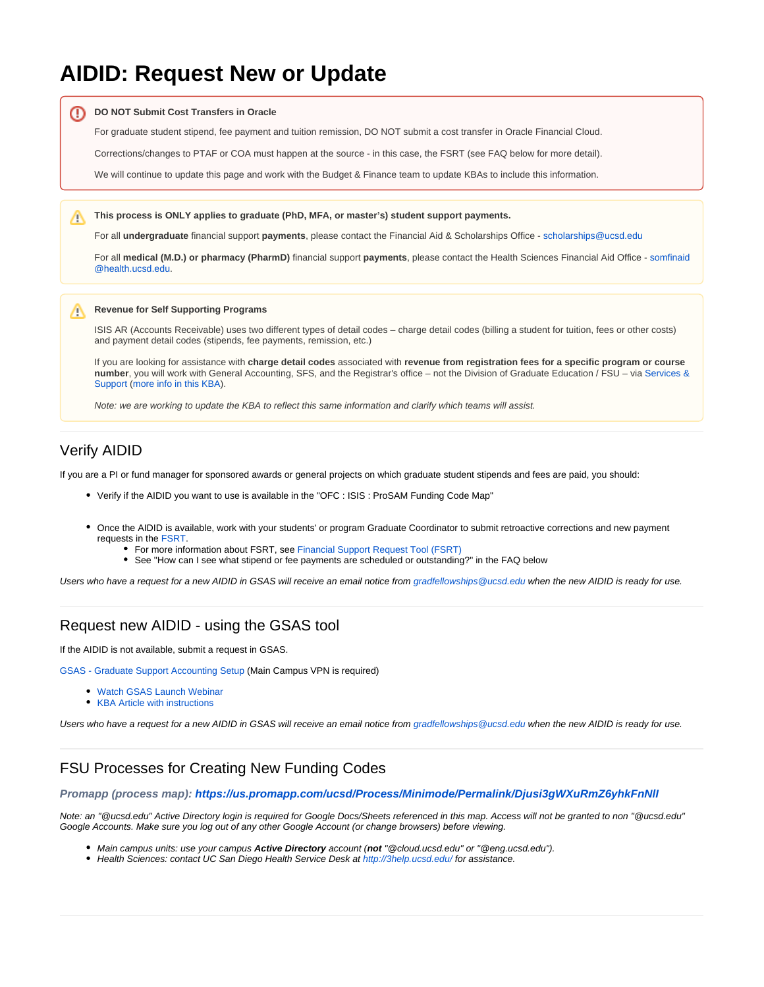# **AIDID: Request New or Update**

#### ⋒ **DO NOT Submit Cost Transfers in Oracle**

For graduate student stipend, fee payment and tuition remission, DO NOT submit a cost transfer in Oracle Financial Cloud.

Corrections/changes to PTAF or COA must happen at the source - in this case, the FSRT (see FAQ below for more detail).

We will continue to update this page and work with the Budget & Finance team to update KBAs to include this information.

#### **This process is ONLY applies to graduate (PhD, MFA, or master's) student support payments.** Λ

For all **undergraduate** financial support **payments**, please contact the Financial Aid & Scholarships Office - [scholarships@ucsd.edu](mailto:scholarships@ucsd.edu)

For all **medical (M.D.) or pharmacy (PharmD)** financial support **payments**, please contact the Health Sciences Financial Aid Office - [somfinaid](mailto:somfinaid@health.ucsd.edu) [@health.ucsd.edu](mailto:somfinaid@health.ucsd.edu).

#### **Revenue for Self Supporting Programs** Δ

ISIS AR (Accounts Receivable) uses two different types of detail codes – charge detail codes (billing a student for tuition, fees or other costs) and payment detail codes (stipends, fee payments, remission, etc.)

If you are looking for assistance with **charge detail codes** associated with **revenue from registration fees for a specific program or course number**, you will work with General Accounting, SFS, and the Registrar's office – not the Division of Graduate Education / FSU – via [Services &](http://support.ucsd.edu)  [Support](http://support.ucsd.edu) ([more info in this KBA\)](https://support.ucsd.edu/finance?id=kb_article_view&sys_kb_id=99cda06d1b22c1d0506f64e8624bcb60).

Note: we are working to update the KBA to reflect this same information and clarify which teams will assist.

## Verify AIDID

If you are a PI or fund manager for sponsored awards or general projects on which graduate student stipends and fees are paid, you should:

- Verify if the AIDID you want to use is available in the "OFC : ISIS : ProSAM Funding Code Map"
- Once the AIDID is available, work with your students' or program Graduate Coordinator to submit retroactive corrections and new payment requests in the [FSRT.](https://gradforms.ucsd.edu/financial/summary.php)
	- For more information about FSRT, see [Financial Support Request Tool \(FSRT\)](https://collab.ucsd.edu/pages/viewpage.action?pageId=139466113)
	- See "How can I see what stipend or fee payments are scheduled or outstanding?" in the FAQ below

Users who have a request for a new AIDID in GSAS will receive an email notice from [gradfellowships@ucsd.edu](mailto:gradfellowships@ucsd.edu) when the new AIDID is ready for use.

#### Request new AIDID - using the GSAS tool

If the AIDID is not available, submit a request in GSAS.

[GSAS - Graduate Support Accounting Setup](https://finapps.ucsd.edu/sspss/) (Main Campus VPN is required)

- [Watch GSAS Launch Webinar](https://drive.google.com/file/d/1RlVKRtywT6sB3FGY56FMFwmxN5D4oIb5/view?usp=sharing)
- [KBA Article with instructions](https://support.ucsd.edu/services?id=kb_article_view&sys_kb_id=d68b142f1b5a0150506f64e8624bcb68)

Users who have a request for a new AIDID in GSAS will receive an email notice from [gradfellowships@ucsd.edu](mailto:gradfellowships@ucsd.edu) when the new AIDID is ready for use.

## FSU Processes for Creating New Funding Codes

#### **Promapp (process map): <https://us.promapp.com/ucsd/Process/Minimode/Permalink/Djusi3gWXuRmZ6yhkFnNlI>**

Note: an "@ucsd.edu" Active Directory login is required for Google Docs/Sheets referenced in this map. Access will not be granted to non "@ucsd.edu" Google Accounts. Make sure you log out of any other Google Account (or change browsers) before viewing.

- Main campus units: use your campus **Active Directory** account (**not** "@cloud.ucsd.edu" or "@eng.ucsd.edu").
- Health Sciences: contact UC San Diego Health Service Desk at <http://3help.ucsd.edu/>for assistance.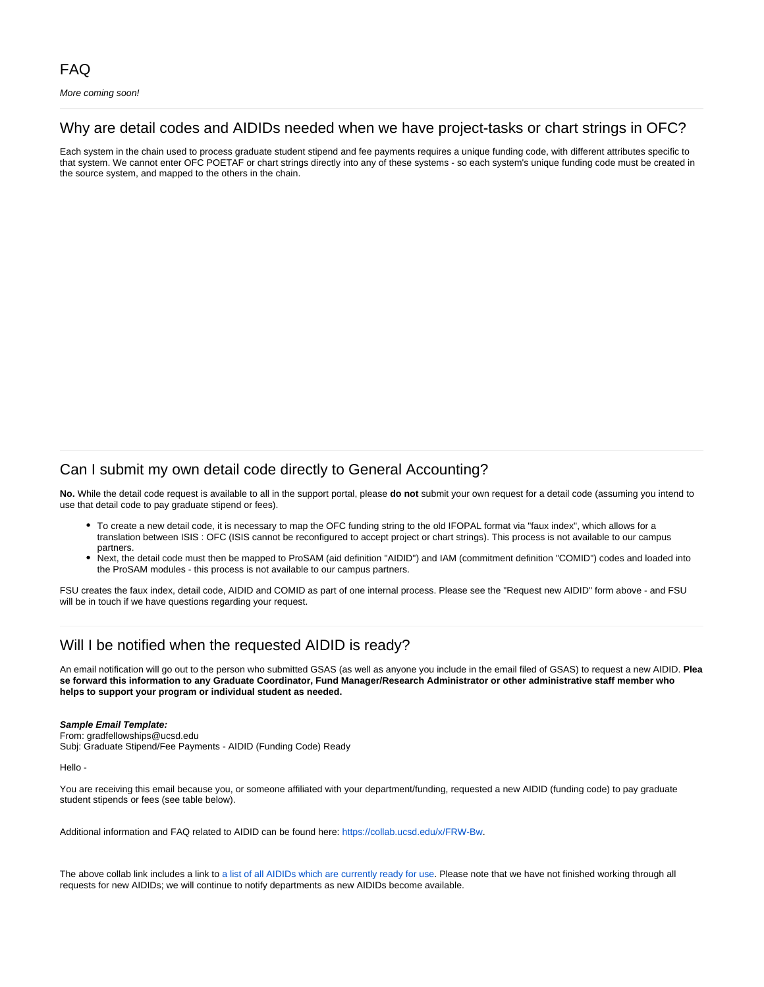## Why are detail codes and AIDIDs needed when we have project-tasks or chart strings in OFC?

Each system in the chain used to process graduate student stipend and fee payments requires a unique funding code, with different attributes specific to that system. We cannot enter OFC POETAF or chart strings directly into any of these systems - so each system's unique funding code must be created in the source system, and mapped to the others in the chain.

## Can I submit my own detail code directly to General Accounting?

**No.** While the detail code request is available to all in the support portal, please **do not** submit your own request for a detail code (assuming you intend to use that detail code to pay graduate stipend or fees).

- To create a new detail code, it is necessary to map the OFC funding string to the old IFOPAL format via "faux index", which allows for a translation between ISIS : OFC (ISIS cannot be reconfigured to accept project or chart strings). This process is not available to our campus partners.
- Next, the detail code must then be mapped to ProSAM (aid definition "AIDID") and IAM (commitment definition "COMID") codes and loaded into the ProSAM modules - this process is not available to our campus partners.

FSU creates the faux index, detail code, AIDID and COMID as part of one internal process. Please see the "Request new AIDID" form above - and FSU will be in touch if we have questions regarding your request.

# Will I be notified when the requested AIDID is ready?

An email notification will go out to the person who submitted GSAS (as well as anyone you include in the email filed of GSAS) to request a new AIDID. **Plea se forward this information to any Graduate Coordinator, Fund Manager/Research Administrator or other administrative staff member who helps to support your program or individual student as needed.**

#### **Sample Email Template:**

From: gradfellowships@ucsd.edu Subj: Graduate Stipend/Fee Payments - AIDID (Funding Code) Ready

Hello -

You are receiving this email because you, or someone affiliated with your department/funding, requested a new AIDID (funding code) to pay graduate student stipends or fees (see table below).

Additional information and FAQ related to AIDID can be found here: [https://collab.ucsd.edu/x/FRW-Bw.](https://collab.ucsd.edu/x/FRW-Bw)

The above collab link includes a link to [a list of all AIDIDs which are currently ready for use](https://docs.google.com/spreadsheets/d/1I2RcYp_v7TCwt3K4OY5vm9t1C5Mb-GDla8ZuP7anCkk/edit?usp=drivesdk). Please note that we have not finished working through all requests for new AIDIDs; we will continue to notify departments as new AIDIDs become available.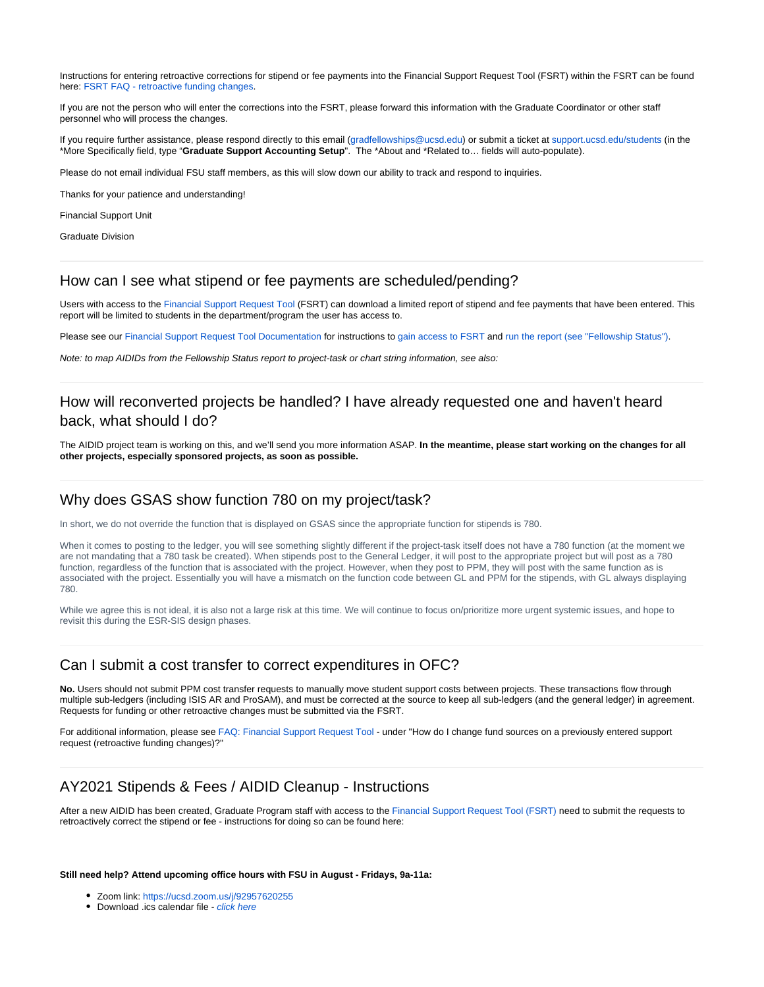Instructions for entering retroactive corrections for stipend or fee payments into the Financial Support Request Tool (FSRT) within the FSRT can be found here: [FSRT FAQ - retroactive funding changes](https://collab.ucsd.edu/display/GDCP/FAQ%3A+Financial+Support+Request+Tool#expand-HowdoIchangefundsourcesonapreviouslyenteredsupportrequestretroactivefundingchanges).

If you are not the person who will enter the corrections into the FSRT, please forward this information with the Graduate Coordinator or other staff personnel who will process the changes.

If you require further assistance, please respond directly to this email [\(gradfellowships@ucsd.edu\)](mailto:gradfellowships@ucsd.edu) or submit a ticket at [support.ucsd.edu/students](http://support.ucsd.edu/students) (in the \*More Specifically field, type "**Graduate Support Accounting Setup**". The \*About and \*Related to… fields will auto-populate).

Please do not email individual FSU staff members, as this will slow down our ability to track and respond to inquiries.

Thanks for your patience and understanding!

Financial Support Unit

Graduate Division

#### How can I see what stipend or fee payments are scheduled/pending?

Users with access to the [Financial Support Request Tool](https://collab.ucsd.edu/display/GDCP/Financial+Support+Request+Tool+Documentation) (FSRT) can download a limited report of stipend and fee payments that have been entered. This report will be limited to students in the department/program the user has access to.

Please see our [Financial Support Request Tool Documentation](https://collab.ucsd.edu/display/GDCP/Financial+Support+Request+Tool+Documentation) for instructions to [gain access to FSRT](https://docs.google.com/document/d/1rjlC4b44UnYF8pGgGaXK4RXgB1i0jKzzKxEdWPHKZvs/edit#bookmark=id.1jke2pgixgbv) and [run the report \(see "Fellowship Status"\).](https://docs.google.com/document/d/1rjlC4b44UnYF8pGgGaXK4RXgB1i0jKzzKxEdWPHKZvs/edit#bookmark=id.manw8ogoa74b)

Note: to map AIDIDs from the Fellowship Status report to project-task or chart string information, see also:

## How will reconverted projects be handled? I have already requested one and haven't heard back, what should I do?

The AIDID project team is working on this, and we'll send you more information ASAP. **In the meantime, please start working on the changes for all other projects, especially sponsored projects, as soon as possible.**

#### Why does GSAS show function 780 on my project/task?

In short, we do not override the function that is displayed on GSAS since the appropriate function for stipends is 780.

When it comes to posting to the ledger, you will see something slightly different if the project-task itself does not have a 780 function (at the moment we are not mandating that a 780 task be created). When stipends post to the General Ledger, it will post to the appropriate project but will post as a 780 function, regardless of the function that is associated with the project. However, when they post to PPM, they will post with the same function as is associated with the project. Essentially you will have a mismatch on the function code between GL and PPM for the stipends, with GL always displaying 780.

While we agree this is not ideal, it is also not a large risk at this time. We will continue to focus on/prioritize more urgent systemic issues, and hope to revisit this during the ESR-SIS design phases.

#### Can I submit a cost transfer to correct expenditures in OFC?

**No.** Users should not submit PPM cost transfer requests to manually move student support costs between projects. These transactions flow through multiple sub-ledgers (including ISIS AR and ProSAM), and must be corrected at the source to keep all sub-ledgers (and the general ledger) in agreement. Requests for funding or other retroactive changes must be submitted via the FSRT.

For additional information, please see [FAQ: Financial Support Request Tool](https://collab.ucsd.edu/display/GDCP/FAQ%3A+Financial+Support+Request+Tool) - under "How do I change fund sources on a previously entered support request (retroactive funding changes)?"

## AY2021 Stipends & Fees / AIDID Cleanup - Instructions

After a new AIDID has been created, Graduate Program staff with access to the [Financial Support Request Tool \(FSRT\)](https://collab.ucsd.edu/display/GDCP/Financial+Support+Request+Tool) need to submit the requests to retroactively correct the stipend or fee - instructions for doing so can be found here:

#### **Still need help? Attend upcoming office hours with FSU in August - Fridays, 9a-11a:**

- Zoom link: <https://ucsd.zoom.us/j/92957620255>
- Download .ics calendar file [click here](https://ucsd.zoom.us/meeting/tJYkcu6urDsoH9Fr8qUjNDYPr9UrUikvB7Dx/ics?icsToken=98tyKuCqpz4tHNaVshyCRowQHY_4KO7zpmJBgvp7jkf0Nip9RjrGJLt3IId2G87y)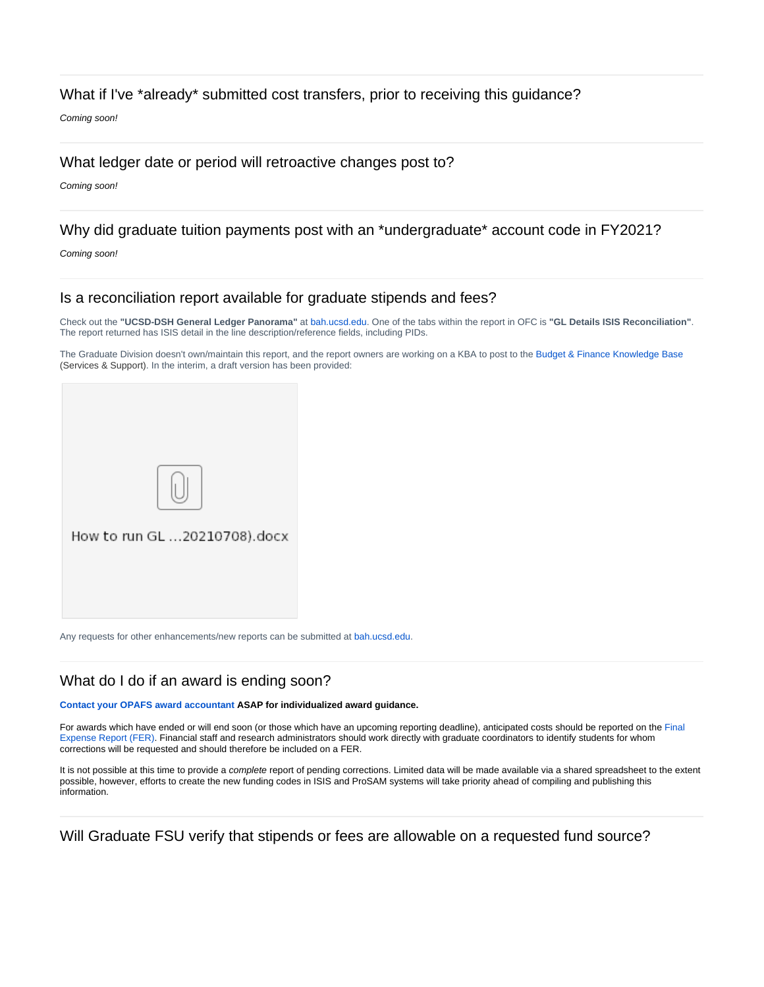## What if I've \*already\* submitted cost transfers, prior to receiving this guidance?

Coming soon!

#### What ledger date or period will retroactive changes post to?

Coming soon!

#### Why did graduate tuition payments post with an \*undergraduate\* account code in FY2021?

Coming soon!

#### Is a reconciliation report available for graduate stipends and fees?

Check out the **"UCSD-DSH General Ledger Panorama"** at [bah.ucsd.edu](http://bah.ucsd.edu). One of the tabs within the report in OFC is **"GL Details ISIS Reconciliation"**. The report returned has ISIS detail in the line description/reference fields, including PIDs.

The Graduate Division doesn't own/maintain this report, and the report owners are working on a KBA to post to the [Budget & Finance Knowledge Base](https://support.ucsd.edu/finance?id=kb_view) (Services & Support). In the interim, a draft version has been provided:

| How to run GL 20210708).docx |
|------------------------------|
|                              |
|                              |

Any requests for other enhancements/new reports can be submitted at [bah.ucsd.edu.](http://bah.ucsd.edu)

## What do I do if an award is ending soon?

#### **[Contact your OPAFS award accountant](https://blink.ucsd.edu/sponsor/BFS/divisions/opafs/accountantsearch.html) ASAP for individualized award guidance.**

For awards which have ended or will end soon (or those which have an upcoming reporting deadline), anticipated costs should be reported on the [Final](https://blink.ucsd.edu/research/managing-awards/award-administration/closeout.html)  [Expense Report \(FER\).](https://blink.ucsd.edu/research/managing-awards/award-administration/closeout.html) Financial staff and research administrators should work directly with graduate coordinators to identify students for whom corrections will be requested and should therefore be included on a FER.

It is not possible at this time to provide a complete report of pending corrections. Limited data will be made available via a shared spreadsheet to the extent possible, however, efforts to create the new funding codes in ISIS and ProSAM systems will take priority ahead of compiling and publishing this information.

Will Graduate FSU verify that stipends or fees are allowable on a requested fund source?